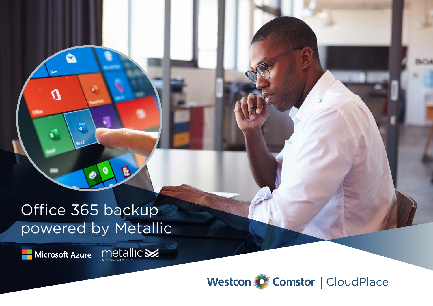Office 365 backup powered by Metallic

Microsoft Azure | MetallIC

Westcon & Comstor | CloudPlace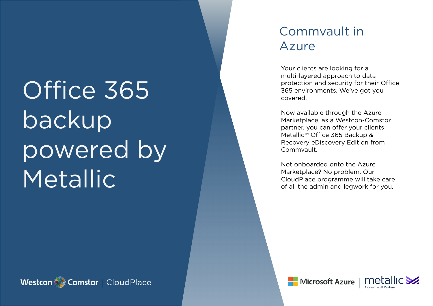# Office 365 backup powered by **Metallic**

### Commvault in Azure

Your clients are looking for a multi-layered approach to data protection and security for their Office 365 environments. We've got you covered.

Now available through the Azure Marketplace, as a Westcon-Comstor partner, you can offer your clients Metallic™ Office 365 Backup & Recovery eDiscovery Edition from Commvault.

Not onboarded onto the Azure Marketplace? No problem. Our CloudPlace programme will take care of all the admin and legwork for you.





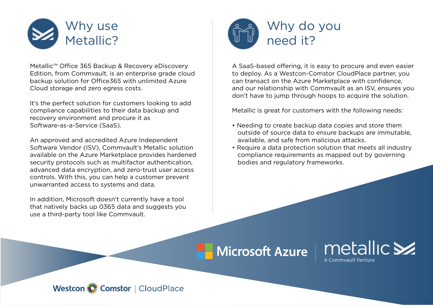

Metallic™ Office 365 Backup & Recovery eDiscovery Edition, from Commvault, is an enterprise grade cloud backup solution for Office365 with unlimited Azure Cloud storage and zero egress costs.

It's the perfect solution for customers looking to add compliance capabilities to their data backup and recovery environment and procure it as Software-as-a-Service (SaaS).

An approved and accredited Azure Independent Software Vendor (ISV), Commvault's Metallic solution available on the Azure Marketplace provides hardened security protocols such as multifactor authentication, advanced data encryption, and zero-trust user access controls. With this, you can help a customer prevent unwarranted access to systems and data.

In addition, Microsoft doesn't currently have a tool that natively backs up 0365 data and suggests you use a third-party tool like Commvault.



A SaaS-based offering, it is easy to procure and even easier to deploy. As a Westcon-Comstor CloudPlace partner, you can transact on the Azure Marketplace with confidence, and our relationship with Commvault as an ISV, ensures you don't have to jump through hoops to acquire the solution.

Metallic is great for customers with the following needs:

- Needing to create backup data copies and store them outside of source data to ensure backups are immutable, available, and safe from malicious attacks.
- Require a data protection solution that meets all industry compliance requirements as mapped out by governing bodies and regulatory frameworks.

**Microsoft Azure** 



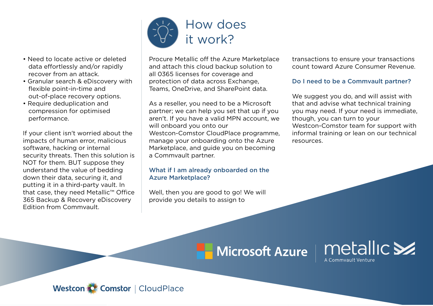

- Granular search & eDiscovery with flexible point-in-time and out-of-place recovery options.
- Require deduplication and compression for optimised performance.

If your client isn't worried about the impacts of human error, malicious software, hacking or internal security threats. Then this solution is NOT for them. BUT suppose they understand the value of bedding down their data, securing it, and putting it in a third-party vault. In that case, they need Metallic™ Office 365 Backup & Recovery eDiscovery Edition from Commvault.



Procure Metallic off the Azure Marketplace and attach this cloud backup solution to all 0365 licenses for coverage and protection of data across Exchange, Teams, OneDrive, and SharePoint data.

As a reseller, you need to be a Microsoft partner; we can help you set that up if you aren't. If you have a valid MPN account, we will onboard you onto our Westcon-Comstor CloudPlace programme, manage your onboarding onto the Azure Marketplace, and guide you on becoming a Commvault partner.

#### What if I am already onboarded on the Azure Marketplace?

Well, then you are good to go! We will provide you details to assign to

transactions to ensure your transactions count toward Azure Consumer Revenue.

#### Do I need to be a Commvault partner?

We suggest you do, and will assist with that and advise what technical training you may need. If your need is immediate, though, you can turn to your Westcon-Comstor team for support with informal training or lean on our technical resources.

# **Microsoft Azure**



Westcon C Comstor | CloudPlace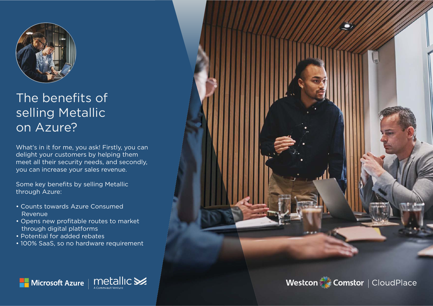

## The benefits of selling Metallic on Azure?

What's in it for me, you ask! Firstly, you can delight your customers by helping them meet all their security needs, and secondly, you can increase your sales revenue.

Some key benefits by selling Metallic through Azure:

- Counts towards Azure Consumed Revenue
- Opens new profitable routes to market through digital platforms
- Potential for added rebates
- 100% SaaS, so no hardware requirement





Westcon Comstor | CloudPlace